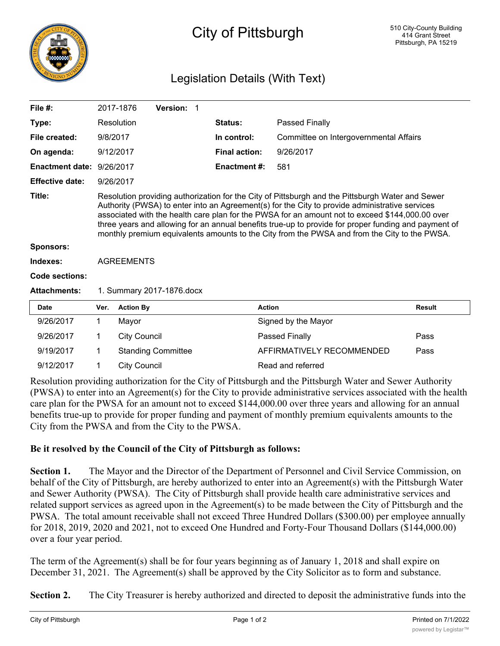

## City of Pittsburgh

## Legislation Details (With Text)

| File $#$ :                |                   | 2017-1876                                                                                                                                                                                                                                                                                                                                                                                                                                                                                                     | Version: 1                                |  |                      |                                                                |               |
|---------------------------|-------------------|---------------------------------------------------------------------------------------------------------------------------------------------------------------------------------------------------------------------------------------------------------------------------------------------------------------------------------------------------------------------------------------------------------------------------------------------------------------------------------------------------------------|-------------------------------------------|--|----------------------|----------------------------------------------------------------|---------------|
| Type:                     |                   | Resolution                                                                                                                                                                                                                                                                                                                                                                                                                                                                                                    |                                           |  | Status:              | Passed Finally                                                 |               |
| File created:             | 9/8/2017          |                                                                                                                                                                                                                                                                                                                                                                                                                                                                                                               |                                           |  | In control:          | Committee on Intergovernmental Affairs                         |               |
| On agenda:                | 9/12/2017         |                                                                                                                                                                                                                                                                                                                                                                                                                                                                                                               |                                           |  | <b>Final action:</b> | 9/26/2017                                                      |               |
| Enactment date: 9/26/2017 |                   |                                                                                                                                                                                                                                                                                                                                                                                                                                                                                                               |                                           |  | Enactment #:         | 581                                                            |               |
| <b>Effective date:</b>    | 9/26/2017         |                                                                                                                                                                                                                                                                                                                                                                                                                                                                                                               |                                           |  |                      |                                                                |               |
| Title:                    |                   | Resolution providing authorization for the City of Pittsburgh and the Pittsburgh Water and Sewer<br>Authority (PWSA) to enter into an Agreement(s) for the City to provide administrative services<br>associated with the health care plan for the PWSA for an amount not to exceed \$144,000.00 over<br>three years and allowing for an annual benefits true-up to provide for proper funding and payment of<br>monthly premium equivalents amounts to the City from the PWSA and from the City to the PWSA. |                                           |  |                      |                                                                |               |
| <b>Sponsors:</b>          |                   |                                                                                                                                                                                                                                                                                                                                                                                                                                                                                                               |                                           |  |                      |                                                                |               |
| Indexes:                  | <b>AGREEMENTS</b> |                                                                                                                                                                                                                                                                                                                                                                                                                                                                                                               |                                           |  |                      |                                                                |               |
| Code sections:            |                   |                                                                                                                                                                                                                                                                                                                                                                                                                                                                                                               |                                           |  |                      |                                                                |               |
| <b>Attachments:</b>       |                   | 1. Summary 2017-1876.docx                                                                                                                                                                                                                                                                                                                                                                                                                                                                                     |                                           |  |                      |                                                                |               |
| <b>Date</b>               | Ver.              | <b>Action By</b>                                                                                                                                                                                                                                                                                                                                                                                                                                                                                              |                                           |  |                      | <b>Action</b>                                                  | <b>Result</b> |
| 9/26/2017                 | 1.                | Mayor                                                                                                                                                                                                                                                                                                                                                                                                                                                                                                         |                                           |  |                      | Signed by the Mayor                                            |               |
| 9/26/2017                 | 1.                | <b>City Council</b>                                                                                                                                                                                                                                                                                                                                                                                                                                                                                           |                                           |  |                      | Passed Finally                                                 | Pass          |
| 9/19/2017                 | 1                 |                                                                                                                                                                                                                                                                                                                                                                                                                                                                                                               | <b>Standing Committee</b>                 |  |                      | AFFIRMATIVELY RECOMMENDED                                      | Pass          |
| 9/12/2017                 | 1                 | <b>City Council</b>                                                                                                                                                                                                                                                                                                                                                                                                                                                                                           |                                           |  |                      | Read and referred                                              |               |
| $\sim$ 1 $\sim$           | $\cdot$ $\cdot$   |                                                                                                                                                                                                                                                                                                                                                                                                                                                                                                               | $\sim$ $\sim$ $\sim$ $\sim$ $\sim$ $\sim$ |  |                      | $2.51 \times 1 = 1$ $1.1 \times 1.1 = 1.11$<br>$\sim$ 1 $\sim$ |               |

Resolution providing authorization for the City of Pittsburgh and the Pittsburgh Water and Sewer Authority (PWSA) to enter into an Agreement(s) for the City to provide administrative services associated with the health care plan for the PWSA for an amount not to exceed \$144,000.00 over three years and allowing for an annual benefits true-up to provide for proper funding and payment of monthly premium equivalents amounts to the City from the PWSA and from the City to the PWSA.

## **Be it resolved by the Council of the City of Pittsburgh as follows:**

**Section 1.** The Mayor and the Director of the Department of Personnel and Civil Service Commission, on behalf of the City of Pittsburgh, are hereby authorized to enter into an Agreement(s) with the Pittsburgh Water and Sewer Authority (PWSA). The City of Pittsburgh shall provide health care administrative services and related support services as agreed upon in the Agreement(s) to be made between the City of Pittsburgh and the PWSA. The total amount receivable shall not exceed Three Hundred Dollars (\$300.00) per employee annually for 2018, 2019, 2020 and 2021, not to exceed One Hundred and Forty-Four Thousand Dollars (\$144,000.00) over a four year period.

The term of the Agreement(s) shall be for four years beginning as of January 1, 2018 and shall expire on December 31, 2021. The Agreement(s) shall be approved by the City Solicitor as to form and substance.

**Section 2.** The City Treasurer is hereby authorized and directed to deposit the administrative funds into the